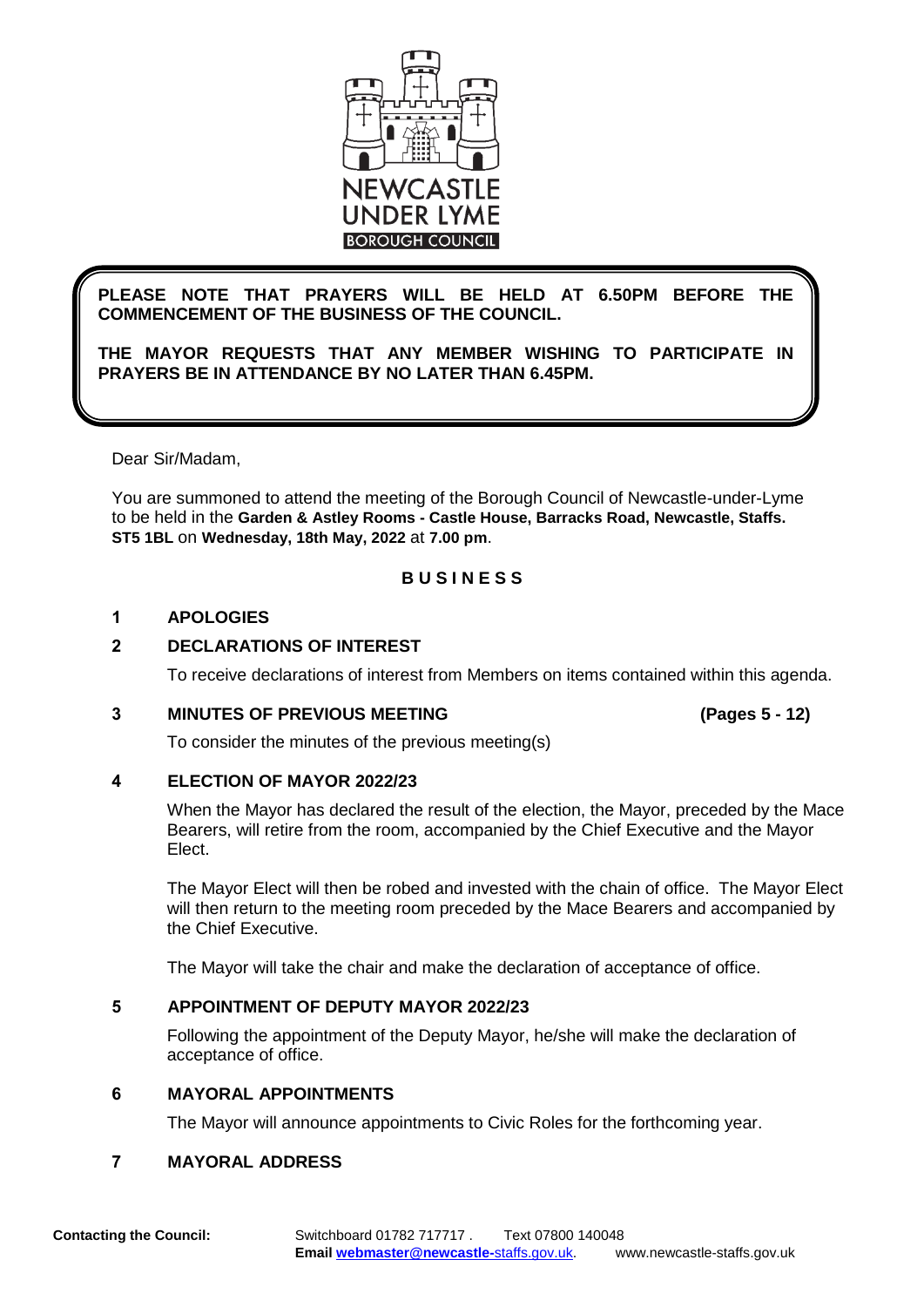

## **PLEASE NOTE THAT PRAYERS WILL BE HELD AT 6.50PM BEFORE THE COMMENCEMENT OF THE BUSINESS OF THE COUNCIL.**

**THE MAYOR REQUESTS THAT ANY MEMBER WISHING TO PARTICIPATE IN PRAYERS BE IN ATTENDANCE BY NO LATER THAN 6.45PM.**

Dear Sir/Madam,

You are summoned to attend the meeting of the Borough Council of Newcastle-under-Lyme to be held in the **Garden & Astley Rooms - Castle House, Barracks Road, Newcastle, Staffs. ST5 1BL** on **Wednesday, 18th May, 2022** at **7.00 pm**.

## **B U S I N E S S**

## **1 APOLOGIES**

## **2 DECLARATIONS OF INTEREST**

To receive declarations of interest from Members on items contained within this agenda.

## **3 MINUTES OF PREVIOUS MEETING (Pages 5 - 12)**

To consider the minutes of the previous meeting(s)

## **4 ELECTION OF MAYOR 2022/23**

When the Mayor has declared the result of the election, the Mayor, preceded by the Mace Bearers, will retire from the room, accompanied by the Chief Executive and the Mayor Elect.

The Mayor Elect will then be robed and invested with the chain of office. The Mayor Elect will then return to the meeting room preceded by the Mace Bearers and accompanied by the Chief Executive.

The Mayor will take the chair and make the declaration of acceptance of office.

## **5 APPOINTMENT OF DEPUTY MAYOR 2022/23**

Following the appointment of the Deputy Mayor, he/she will make the declaration of acceptance of office.

## **6 MAYORAL APPOINTMENTS**

The Mayor will announce appointments to Civic Roles for the forthcoming year.

## **7 MAYORAL ADDRESS**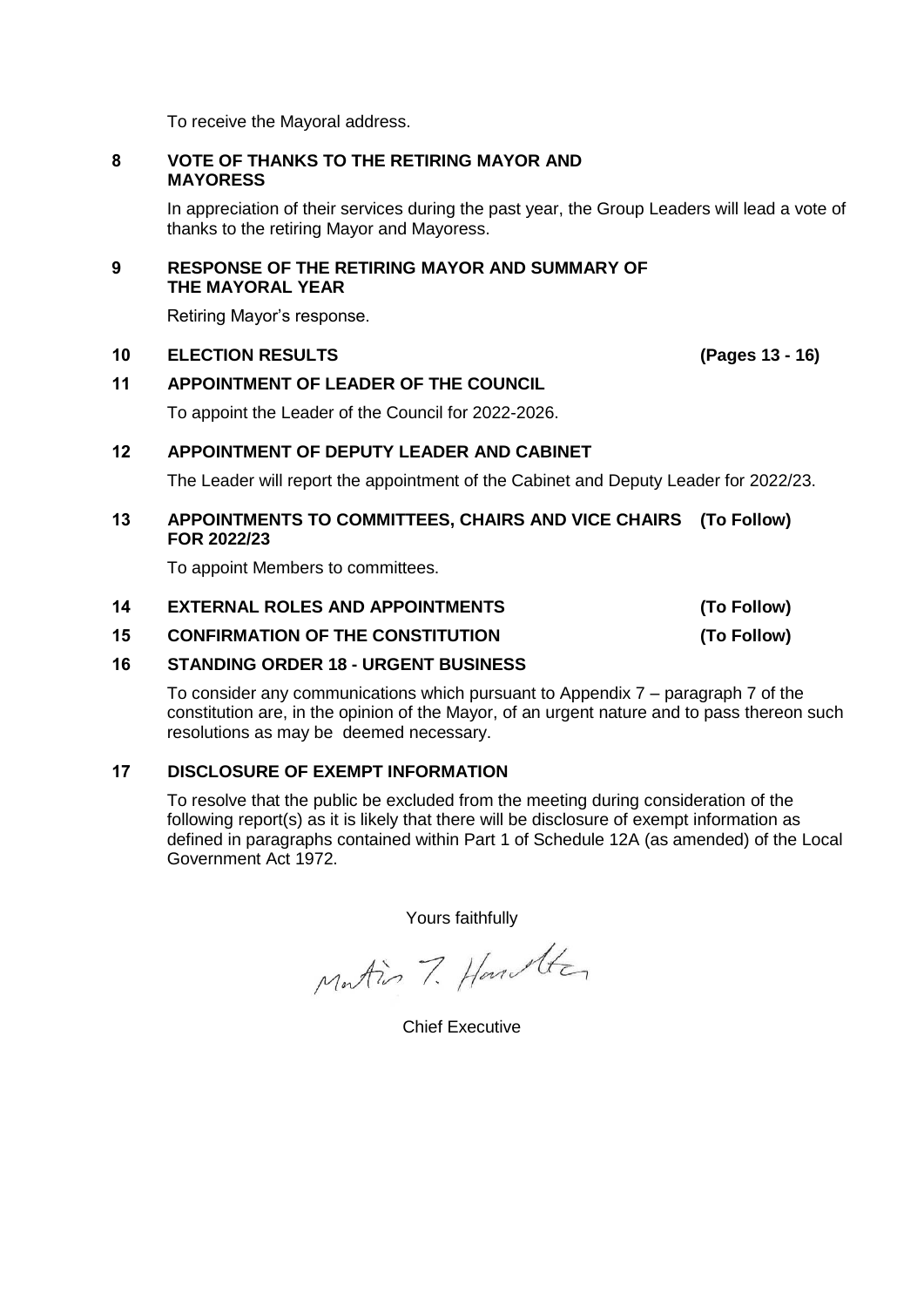To receive the Mayoral address.

#### **8 VOTE OF THANKS TO THE RETIRING MAYOR AND MAYORESS**

In appreciation of their services during the past year, the Group Leaders will lead a vote of thanks to the retiring Mayor and Mayoress.

#### **9 RESPONSE OF THE RETIRING MAYOR AND SUMMARY OF THE MAYORAL YEAR**

Retiring Mayor's response.

#### **10 ELECTION RESULTS (Pages 13 - 16)**

## **11 APPOINTMENT OF LEADER OF THE COUNCIL**

To appoint the Leader of the Council for 2022-2026.

#### **12 APPOINTMENT OF DEPUTY LEADER AND CABINET**

The Leader will report the appointment of the Cabinet and Deputy Leader for 2022/23.

#### **13 APPOINTMENTS TO COMMITTEES, CHAIRS AND VICE CHAIRS (To Follow) FOR 2022/23**

To appoint Members to committees.

#### **14 EXTERNAL ROLES AND APPOINTMENTS (To Follow)**

**15 CONFIRMATION OF THE CONSTITUTION (To Follow)**

#### **16 STANDING ORDER 18 - URGENT BUSINESS**

To consider any communications which pursuant to Appendix 7 – paragraph 7 of the constitution are, in the opinion of the Mayor, of an urgent nature and to pass thereon such resolutions as may be deemed necessary.

#### **17 DISCLOSURE OF EXEMPT INFORMATION**

To resolve that the public be excluded from the meeting during consideration of the following report(s) as it is likely that there will be disclosure of exempt information as defined in paragraphs contained within Part 1 of Schedule 12A (as amended) of the Local Government Act 1972.

Yours faithfully

Matin 7. Hanster

Chief Executive